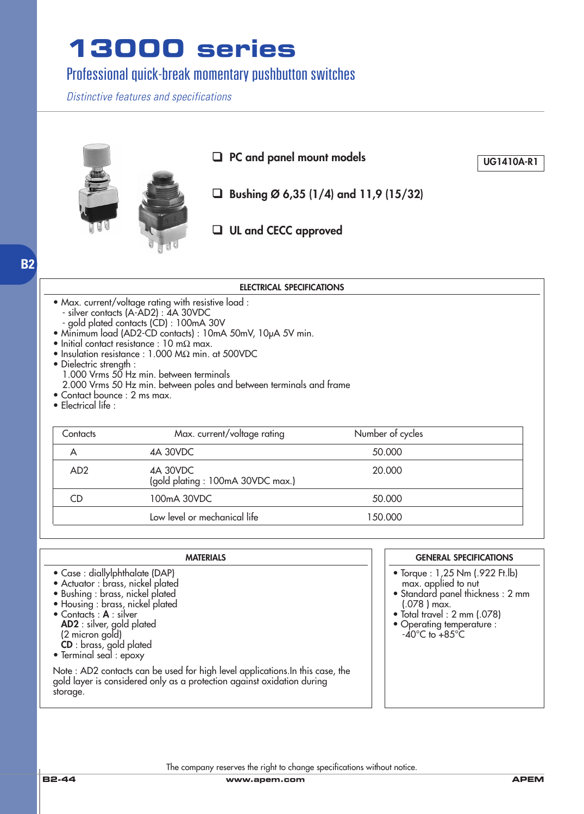### Professional quick-break momentary pushbutton switches

*Distinctive features and specifications*



| <b>ELECTRICAL SPECIFICATIONS</b>                                               |                                                                                                                                                                                                                                                                                                                                                                                                                                                          |                  |  |  |  |
|--------------------------------------------------------------------------------|----------------------------------------------------------------------------------------------------------------------------------------------------------------------------------------------------------------------------------------------------------------------------------------------------------------------------------------------------------------------------------------------------------------------------------------------------------|------------------|--|--|--|
| • Dielectric strength :<br>• Contact bounce : 2 ms max.<br>• Electrical life : | • Max. current/voltage rating with resistive load :<br>- silver contacts (A-AD2) : 4A 30VDC<br>- gold plated contacts (CD) : 100mA 30V<br>• Minimum load (AD2-CD contacts) : 10mA 50mV, 10µA 5V min.<br>$\bullet$ Initial contact resistance : 10 m $\Omega$ max.<br>$\bullet$ Insulation resistance : 1.000 M $\Omega$ min. at 500VDC<br>1.000 Vrms 50 Hz min. between terminals<br>2.000 Vrms 50 Hz min. between poles and between terminals and frame |                  |  |  |  |
| Contacts                                                                       | Max. current/voltage rating                                                                                                                                                                                                                                                                                                                                                                                                                              | Number of cycles |  |  |  |
| A                                                                              | 4A 30VDC                                                                                                                                                                                                                                                                                                                                                                                                                                                 | 50.000           |  |  |  |
| AD <sub>2</sub>                                                                | 4A 30VDC<br>(gold plating: 100mA 30VDC max.)                                                                                                                                                                                                                                                                                                                                                                                                             | 20.000           |  |  |  |
| CD                                                                             | 100mA 30VDC                                                                                                                                                                                                                                                                                                                                                                                                                                              | 50.000           |  |  |  |
|                                                                                | Low level or mechanical life                                                                                                                                                                                                                                                                                                                                                                                                                             | 150.000          |  |  |  |

| <b>MATERIALS</b>                                                                                                                                                                                                                                                                          | <b>GENERAL SPECIFICATIONS</b>                                                                                                                                                                                          |
|-------------------------------------------------------------------------------------------------------------------------------------------------------------------------------------------------------------------------------------------------------------------------------------------|------------------------------------------------------------------------------------------------------------------------------------------------------------------------------------------------------------------------|
| • Case : diallylphthalate (DAP)<br>• Actuator : brass, nickel plated<br>• Bushing : brass, nickel plated<br>• Housing : brass, nickel plated<br>• Contacts: A: silver<br><b>AD2</b> : silver, gold plated<br>(2 micron gold)<br><b>CD</b> : brass, gold plated<br>• Terminal seal : epoxy | • Torque : 1,25 Nm (.922 Ft.lb)<br>max. applied to nut<br>· Standard panel thickness: 2 mm<br>$(.078)$ max.<br>$\bullet$ Total travel : 2 mm (.078)<br>• Operating temperature :<br>$-40^{\circ}$ C to $+85^{\circ}$ C |
| Note : AD2 contacts can be used for high level applications. In this case, the gold layer is considered only as a protection against oxidation during<br>storage.                                                                                                                         |                                                                                                                                                                                                                        |

**B2**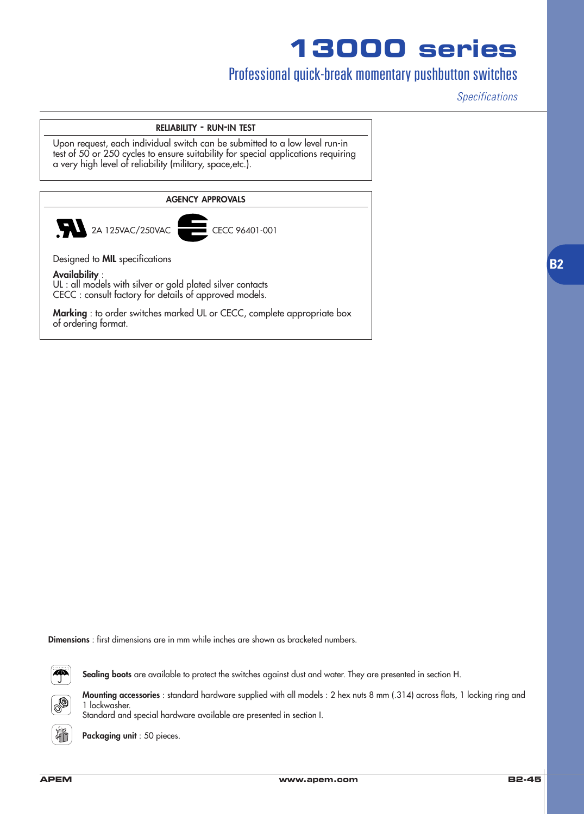### Professional quick-break momentary pushbutton switches

*Specifications*

#### **RELIABILITY - RUN-IN TEST**

Upon request, each individual switch can be submitted to a low level run-in test of 50 or 250 cycles to ensure suitability for special applications requiring a very high level of reliability (military, space,etc.).



**Dimensions** : first dimensions are in mm while inches are shown as bracketed numbers.

Standard and special hardware available are presented in section I.



**Sealing boots** are available to protect the switches against dust and water. They are presented in section H.



**Mounting accessories** : standard hardware supplied with all models : 2 hex nuts 8 mm (.314) across flats, 1 locking ring and



**Packaging unit** : 50 pieces.

1 lockwasher.

**B2**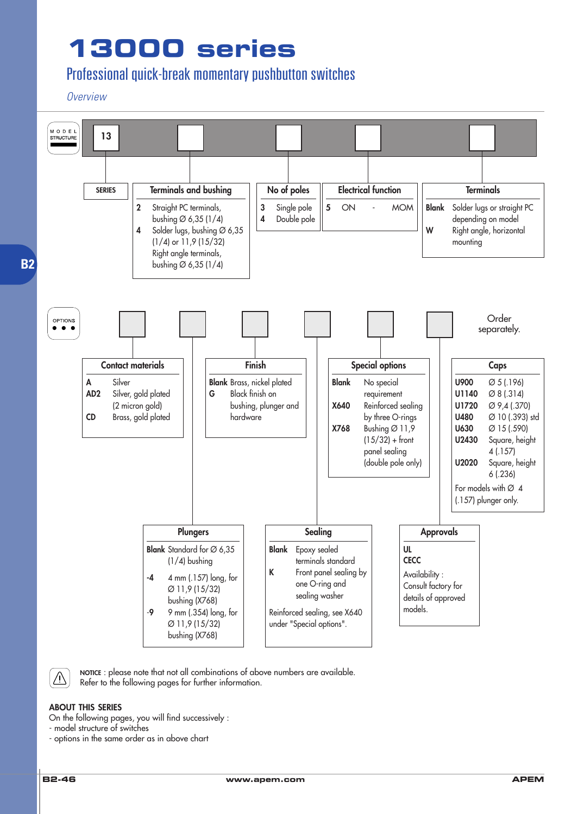### Professional quick-break momentary pushbutton switches

#### *Overview*



 $\sqrt{N}$ 

**NOTICE** : please note that not all combinations of above numbers are available. Refer to the following pages for further information.

#### **ABOUT THIS SERIES**

On the following pages, you will find successively :

- model structure of switches

- options in the same order as in above chart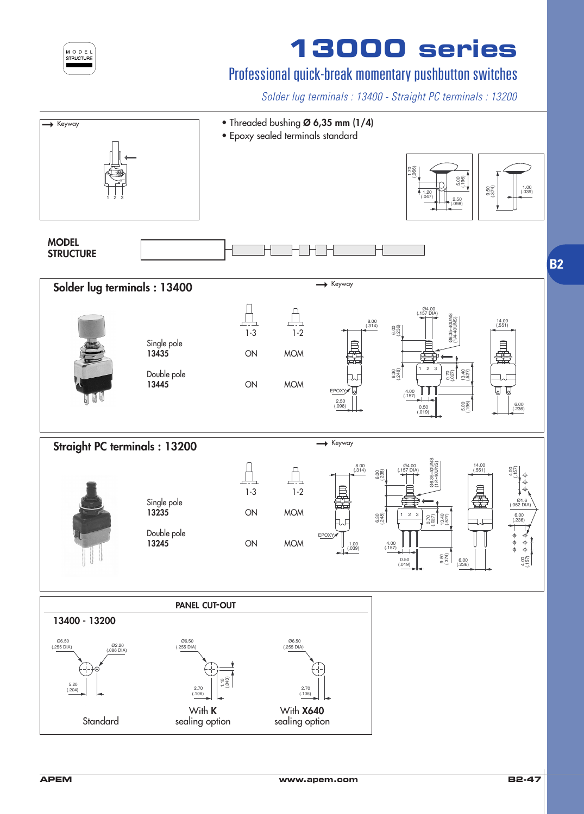| MODE             |  | L |
|------------------|--|---|
| <b>STRUCTURE</b> |  |   |
|                  |  |   |
|                  |  |   |

## Professional quick-break momentary pushbutton switches

*Solder lug terminals : 13400 - Straight PC terminals : 13200*

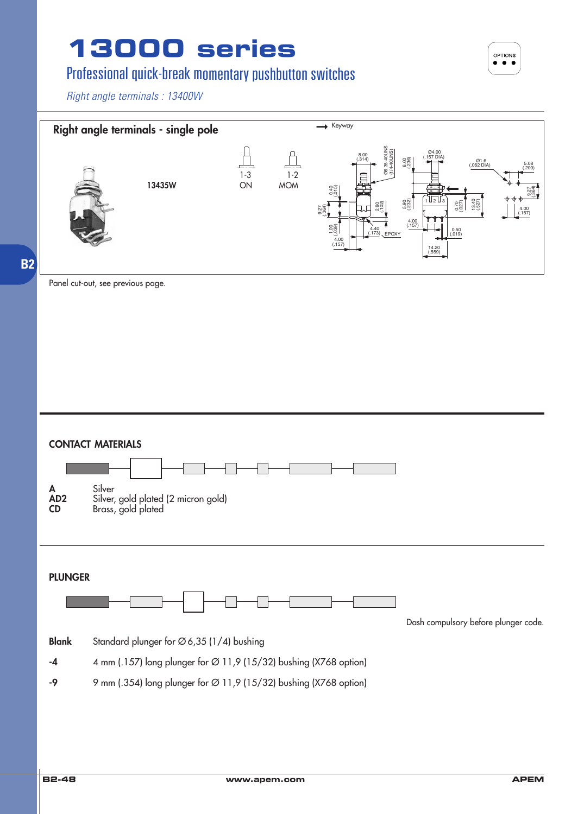### Professional quick-break momentary pushbutton switches

*Right angle terminals : 13400W*



Panel cut-out, see previous page.



OPTIONS  $\bullet$   $\bullet$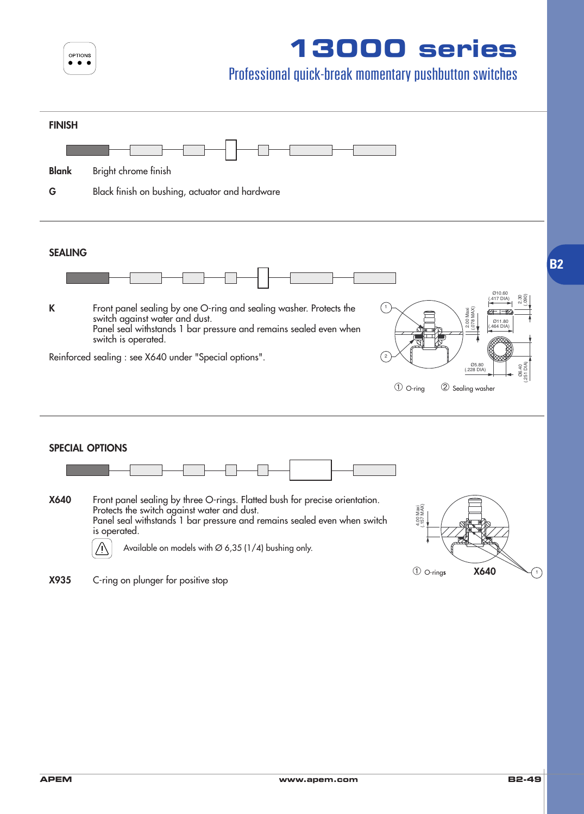|  | <b>OPTIONS</b> |  |
|--|----------------|--|
|  |                |  |
|  |                |  |

### Professional quick-break momentary pushbutton switches

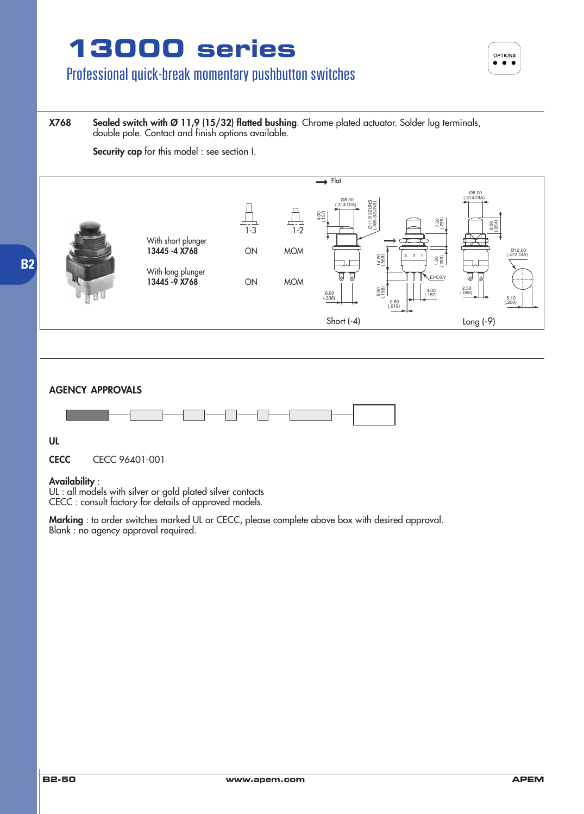**OPTIONS**  $\bullet\bullet\bullet$ 

### Professional quick-break momentary pushbutton switches

#### **X768 Sealed switch with Ø 11,9 (15/32) flatted bushing**. Chrome plated actuator. Solder lug terminals, double pole. Contact and finish options available.

**Security cap** for this model : see section I.



#### **AGENCY APPROVALS**



**UL**

**CECC** CECC 96401-001

#### **Availability** :

UL : all models with silver or gold plated silver contacts CECC : consult factory for details of approved models.

**Marking** : to order switches marked UL or CECC, please complete above box with desired approval. Blank : no agency approval required.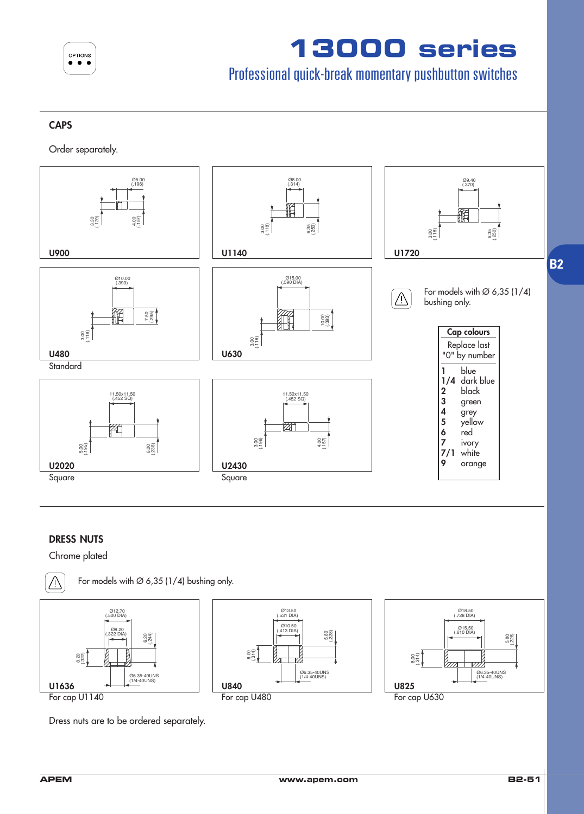

### Professional quick-break momentary pushbutton switches

#### **CAPS**

Order separately.



#### **DRESS NUTS**

Chrome plated



For models with  $\varnothing$  6,35 (1/4) bushing only.



Dress nuts are to be ordered separately.